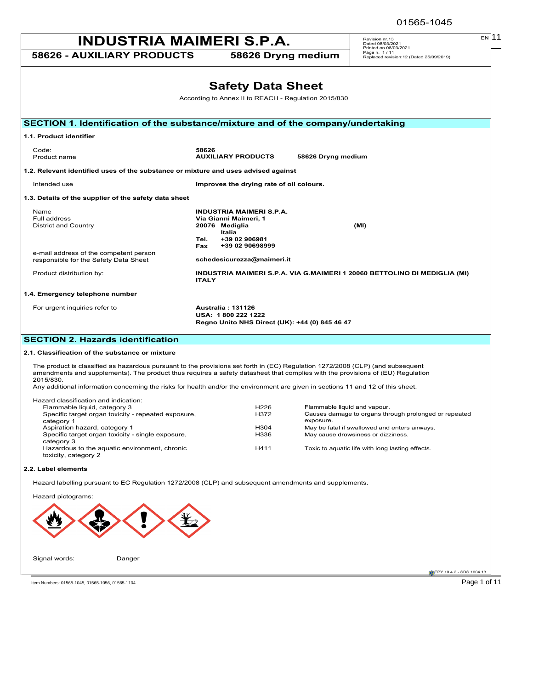| <b>INDUSTRIA MAIMERI S.P.A.</b>                                                    |              |                                                      | EN 11<br>Revision nr.13<br>Dated 08/03/2021<br>Printed on 08/03/2021      |
|------------------------------------------------------------------------------------|--------------|------------------------------------------------------|---------------------------------------------------------------------------|
| <b>58626 - AUXILIARY PRODUCTS</b>                                                  |              | 58626 Dryng medium                                   | Page n. 1/11<br>Replaced revision:12 (Dated 25/09/2019)                   |
|                                                                                    |              |                                                      |                                                                           |
|                                                                                    |              | <b>Safety Data Sheet</b>                             |                                                                           |
|                                                                                    |              | According to Annex II to REACH - Regulation 2015/830 |                                                                           |
| SECTION 1. Identification of the substance/mixture and of the company/undertaking  |              |                                                      |                                                                           |
| 1.1. Product identifier                                                            |              |                                                      |                                                                           |
| Code:<br>Product name                                                              | 58626        | <b>AUXILIARY PRODUCTS</b>                            | 58626 Dryng medium                                                        |
| 1.2. Relevant identified uses of the substance or mixture and uses advised against |              |                                                      |                                                                           |
| Intended use                                                                       |              | Improves the drying rate of oil colours.             |                                                                           |
| 1.3. Details of the supplier of the safety data sheet                              |              |                                                      |                                                                           |
| Name                                                                               |              | <b>INDUSTRIA MAIMERI S.P.A.</b>                      |                                                                           |
| Full address                                                                       |              | Via Gianni Maimeri, 1                                |                                                                           |
| District and Country                                                               |              | 20076 Mediglia<br>Italia                             | (MI)                                                                      |
|                                                                                    | Tel.         | +39 02 906981                                        |                                                                           |
|                                                                                    | <b>Fax</b>   | +39 02 90698999                                      |                                                                           |
| e-mail address of the competent person<br>responsible for the Safety Data Sheet    |              | schedesicurezza@maimeri.it                           |                                                                           |
| Product distribution by:                                                           | <b>ITALY</b> |                                                      | INDUSTRIA MAIMERI S.P.A. VIA G.MAIMERI 1 20060 BETTOLINO DI MEDIGLIA (MI) |
| 1.4. Emergency telephone number                                                    |              |                                                      |                                                                           |
| For urgent inquiries refer to                                                      |              | Australia: 131126                                    |                                                                           |
|                                                                                    |              | USA: 1800 222 1222                                   |                                                                           |
|                                                                                    |              | Regno Unito NHS Direct (UK): +44 (0) 845 46 47       |                                                                           |
| <b>SECTION 2. Hazards identification</b>                                           |              |                                                      |                                                                           |
|                                                                                    |              |                                                      |                                                                           |

### **2.1. Classification of the substance or mixture**

The product is classified as hazardous pursuant to the provisions set forth in (EC) Regulation 1272/2008 (CLP) (and subsequent amendments and supplements). The product thus requires a safety datasheet that complies with the provisions of (EU) Regulation 2015/830.

Any additional information concerning the risks for health and/or the environment are given in sections 11 and 12 of this sheet.

| Hazard classification and indication:               |                  |                                                       |
|-----------------------------------------------------|------------------|-------------------------------------------------------|
| Flammable liquid, category 3                        | H <sub>226</sub> | Flammable liquid and vapour.                          |
|                                                     |                  |                                                       |
| Specific target organ toxicity - repeated exposure, | H372             | Causes damage to organs through prolonged or repeated |
| category 1                                          |                  | exposure.                                             |
| Aspiration hazard, category 1                       | H <sub>304</sub> | May be fatal if swallowed and enters airways.         |
| Specific target organ toxicity - single exposure,   | H336             | May cause drowsiness or dizziness.                    |
| category 3                                          |                  |                                                       |
| Hazardous to the aquatic environment, chronic       | H411             | Toxic to aquatic life with long lasting effects.      |
| toxicity, category 2                                |                  |                                                       |
|                                                     |                  |                                                       |

### **2.2. Label elements**

Hazard labelling pursuant to EC Regulation 1272/2008 (CLP) and subsequent amendments and supplements.



01565-1045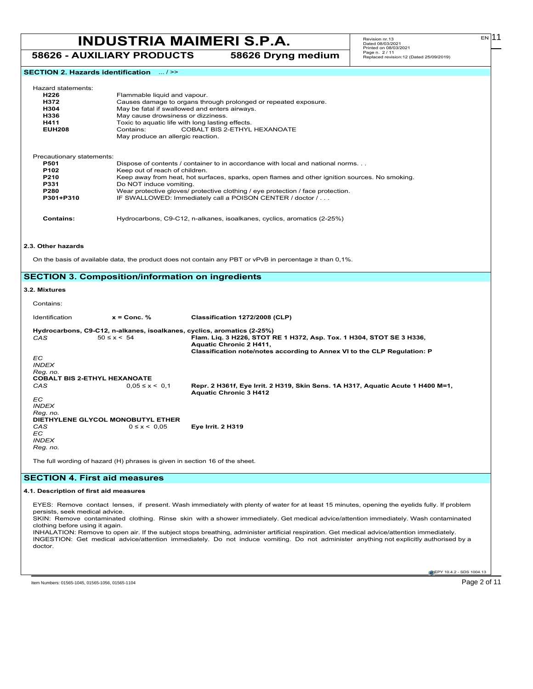**58626 - AUXILIARY PRODUCTS 58626 Dryng medium**

**SECTION 2. Hazards identification** ... / >>

| Hazard statements: |
|--------------------|
|                    |

| - Hazard statements: |                                                                 |  |  |  |
|----------------------|-----------------------------------------------------------------|--|--|--|
| H226                 | Flammable liquid and vapour.                                    |  |  |  |
| H372                 | Causes damage to organs through prolonged or repeated exposure. |  |  |  |
| H304                 | May be fatal if swallowed and enters airways.                   |  |  |  |
| H336                 | May cause drowsiness or dizziness.                              |  |  |  |
| H411                 | Toxic to aquatic life with long lasting effects.                |  |  |  |
| <b>EUH208</b>        | COBALT BIS 2-ETHYL HEXANOATE<br>Contains:                       |  |  |  |
|                      | May produce an allergic reaction.                               |  |  |  |
|                      |                                                                 |  |  |  |

| Precautionary statements: |                                                                                                |
|---------------------------|------------------------------------------------------------------------------------------------|
| <b>P501</b>               | Dispose of contents / container to in accordance with local and national norms                 |
| P <sub>102</sub>          | Keep out of reach of children.                                                                 |
| P210                      | Keep away from heat, hot surfaces, sparks, open flames and other ignition sources. No smoking. |
| P331                      | Do NOT induce vomiting.                                                                        |
| <b>P280</b>               | Wear protective gloves/ protective clothing / eye protection / face protection.                |
| P301+P310                 | IF SWALLOWED: Immediately call a POISON CENTER / doctor /                                      |
|                           |                                                                                                |

**Contains:** Hydrocarbons, C9-C12, n-alkanes, isoalkanes, cyclics, aromatics (2-25%)

### **2.3. Other hazards**

On the basis of available data, the product does not contain any PBT or vPvB in percentage ≥ than 0,1%.

### **SECTION 3. Composition/information on ingredients**

### **3.2. Mixtures**

| Contains:                           |                                                                             |                                                                                                                  |
|-------------------------------------|-----------------------------------------------------------------------------|------------------------------------------------------------------------------------------------------------------|
| Identification                      | $x =$ Conc. %                                                               | Classification 1272/2008 (CLP)                                                                                   |
|                                     |                                                                             | Hydrocarbons, C9-C12, n-alkanes, isoalkanes, cyclics, aromatics (2-25%)                                          |
| CAS                                 | $50 \le x \le 54$                                                           | Flam. Lig. 3 H226, STOT RE 1 H372, Asp. Tox. 1 H304, STOT SE 3 H336,<br>Aquatic Chronic 2 H411,                  |
| EC.                                 |                                                                             | Classification note/notes according to Annex VI to the CLP Regulation: P                                         |
| <b>INDEX</b>                        |                                                                             |                                                                                                                  |
| Reg. no.                            |                                                                             |                                                                                                                  |
| <b>COBALT BIS 2-ETHYL HEXANOATE</b> |                                                                             |                                                                                                                  |
| CAS                                 | $0.05 \le x \le 0.1$                                                        | Repr. 2 H361f, Eye Irrit. 2 H319, Skin Sens. 1A H317, Aquatic Acute 1 H400 M=1,<br><b>Aquatic Chronic 3 H412</b> |
| EC.                                 |                                                                             |                                                                                                                  |
| <b>INDEX</b><br>Reg. no.            |                                                                             |                                                                                                                  |
|                                     | DIETHYLENE GLYCOL MONOBUTYL ETHER                                           |                                                                                                                  |
| CAS<br>EC.<br><b>INDEX</b>          | $0 \le x \le 0.05$                                                          | <b>Eye Irrit. 2 H319</b>                                                                                         |
| Reg. no.                            |                                                                             |                                                                                                                  |
|                                     | The full wording of hazard (H) phrases is given in section 16 of the sheet. |                                                                                                                  |

### **SECTION 4. First aid measures**

### **4.1. Description of first aid measures**

EYES: Remove contact lenses, if present. Wash immediately with plenty of water for at least 15 minutes, opening the eyelids fully. If problem persists, seek medical advice.

SKIN: Remove contaminated clothing. Rinse skin with a shower immediately. Get medical advice/attention immediately. Wash contaminated clothing before using it again.

INHALATION: Remove to open air. If the subject stops breathing, administer artificial respiration. Get medical advice/attention immediately. INGESTION: Get medical advice/attention immediately. Do not induce vomiting. Do not administer anything not explicitly authorised by a doctor.

Item Numbers: 01565-1045, 01565-1056, 01565-1104 Page 2 of 11

EPY 10.4.2 - SDS 1004.13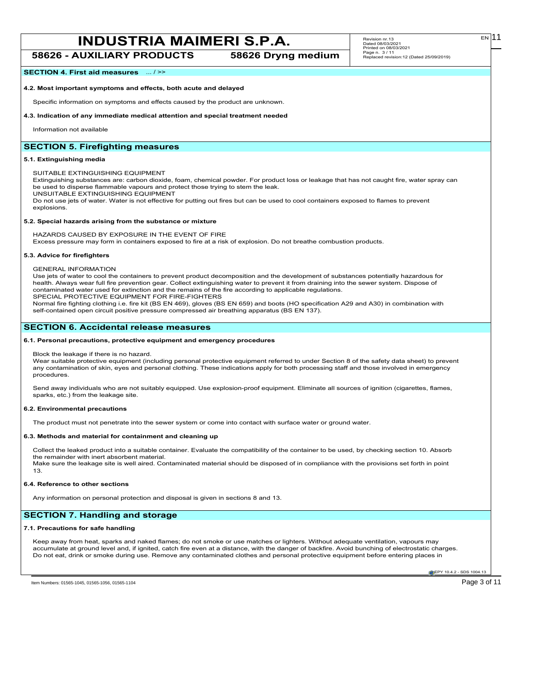**58626 - AUXILIARY PRODUCTS 58626 Dryng medium**

EN

### **SECTION 4. First aid measures** ... / >>

### **4.2. Most important symptoms and effects, both acute and delayed**

Specific information on symptoms and effects caused by the product are unknown.

### **4.3. Indication of any immediate medical attention and special treatment needed**

Information not available

### **SECTION 5. Firefighting measures**

### **5.1. Extinguishing media**

SUITABLE EXTINGUISHING EQUIPMENT

Extinguishing substances are: carbon dioxide, foam, chemical powder. For product loss or leakage that has not caught fire, water spray can be used to disperse flammable vapours and protect those trying to stem the leak.

UNSUITABLE EXTINGUISHING EQUIPMENT

Do not use jets of water. Water is not effective for putting out fires but can be used to cool containers exposed to flames to prevent explosions.

### **5.2. Special hazards arising from the substance or mixture**

HAZARDS CAUSED BY EXPOSURE IN THE EVENT OF FIRE

Excess pressure may form in containers exposed to fire at a risk of explosion. Do not breathe combustion products.

### **5.3. Advice for firefighters**

GENERAL INFORMATION

Use jets of water to cool the containers to prevent product decomposition and the development of substances potentially hazardous for health. Always wear full fire prevention gear. Collect extinguishing water to prevent it from draining into the sewer system. Dispose of contaminated water used for extinction and the remains of the fire according to applicable regulations. SPECIAL PROTECTIVE EQUIPMENT FOR FIRE-FIGHTERS

Normal fire fighting clothing i.e. fire kit (BS EN 469), gloves (BS EN 659) and boots (HO specification A29 and A30) in combination with self-contained open circuit positive pressure compressed air breathing apparatus (BS EN 137).

### **SECTION 6. Accidental release measures**

### **6.1. Personal precautions, protective equipment and emergency procedures**

Block the leakage if there is no hazard.

Wear suitable protective equipment (including personal protective equipment referred to under Section 8 of the safety data sheet) to prevent any contamination of skin, eyes and personal clothing. These indications apply for both processing staff and those involved in emergency procedures.

Send away individuals who are not suitably equipped. Use explosion-proof equipment. Eliminate all sources of ignition (cigarettes, flames, sparks, etc.) from the leakage site.

### **6.2. Environmental precautions**

The product must not penetrate into the sewer system or come into contact with surface water or ground water.

### **6.3. Methods and material for containment and cleaning up**

Collect the leaked product into a suitable container. Evaluate the compatibility of the container to be used, by checking section 10. Absorb the remainder with inert absorbent material. Make sure the leakage site is well aired. Contaminated material should be disposed of in compliance with the provisions set forth in point 13.

### **6.4. Reference to other sections**

Any information on personal protection and disposal is given in sections 8 and 13.

### **SECTION 7. Handling and storage**

### **7.1. Precautions for safe handling**

Keep away from heat, sparks and naked flames; do not smoke or use matches or lighters. Without adequate ventilation, vapours may accumulate at ground level and, if ignited, catch fire even at a distance, with the danger of backfire. Avoid bunching of electrostatic charges. Do not eat, drink or smoke during use. Remove any contaminated clothes and personal protective equipment before entering places in

EPY 10.4.2 - SDS 1004.13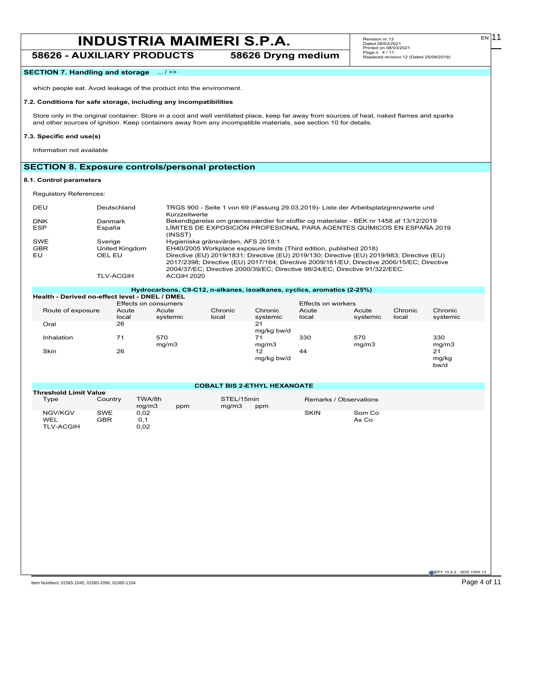### **58626 - AUXILIARY PRODUCTS 58626 Dryng medium**

### **SECTION 7. Handling and storage** ... / >>

which people eat. Avoid leakage of the product into the environment.

### **7.2. Conditions for safe storage, including any incompatibilities**

Store only in the original container. Store in a cool and well ventilated place, keep far away from sources of heat, naked flames and sparks and other sources of ignition. Keep containers away from any incompatible materials, see section 10 for details.

### **7.3. Specific end use(s)**

Information not available

### **SECTION 8. Exposure controls/personal protection**

### **8.1. Control parameters**

Regulatory References:

| DEU        | Deutschland      | TRGS 900 - Seite 1 von 69 (Fassung 29.03.2019)- Liste der Arbeitsplatzgrenzwerte und<br>Kurzzeitwerte                                                                                                                                                                   |
|------------|------------------|-------------------------------------------------------------------------------------------------------------------------------------------------------------------------------------------------------------------------------------------------------------------------|
| <b>DNK</b> | Danmark          | Bekendtgørelse om grænseværdier for stoffer og materialer - BEK nr 1458 af 13/12/2019                                                                                                                                                                                   |
| <b>ESP</b> | España           | LÍMITES DE EXPOSICIÓN PROFESIONAL PARA AGENTES QUÍMICOS EN ESPAÑA 2019<br>(INSST)                                                                                                                                                                                       |
| SWE        | Sverige          | Hygieniska gränsvärden, AFS 2018:1                                                                                                                                                                                                                                      |
| <b>GBR</b> | United Kingdom   | EH40/2005 Workplace exposure limits (Third edition, published 2018)                                                                                                                                                                                                     |
| EU         | OEL EU           | Directive (EU) 2019/1831; Directive (EU) 2019/130; Directive (EU) 2019/983; Directive (EU)<br>2017/2398; Directive (EU) 2017/164; Directive 2009/161/EU; Directive 2006/15/EC; Directive<br>2004/37/EC: Directive 2000/39/EC: Directive 98/24/EC: Directive 91/322/EEC. |
|            | <b>TLV-ACGIH</b> | <b>ACGIH 2020</b>                                                                                                                                                                                                                                                       |

|                                                |                | Hydrocarbons, C9-C12, n-alkanes, isoalkanes, cyclics, aromatics (2-25%) |                  |                     |                    |                   |                  |                     |
|------------------------------------------------|----------------|-------------------------------------------------------------------------|------------------|---------------------|--------------------|-------------------|------------------|---------------------|
| Health - Derived no-effect level - DNEL / DMEL |                |                                                                         |                  |                     |                    |                   |                  |                     |
|                                                |                | Effects on consumers                                                    |                  |                     | Effects on workers |                   |                  |                     |
| Route of exposure                              | Acute<br>local | Acute<br>systemic                                                       | Chronic<br>local | Chronic<br>systemic | Acute<br>local     | Acute<br>systemic | Chronic<br>local | Chronic<br>systemic |
| Oral                                           | 26             |                                                                         |                  | 21<br>mg/kg bw/d    |                    |                   |                  |                     |
| Inhalation                                     | 71             | 570<br>mq/m3                                                            |                  | 71<br>mq/m3         | 330                | 570<br>mq/m3      |                  | 330<br>mg/m3        |
| Skin                                           | 26             |                                                                         |                  | 12<br>mg/kg bw/d    | 44                 |                   |                  | 21<br>mg/kg<br>bw/d |

**COBALT BIS 2-ETHYL HEXANOATE**

| <b>Threshold Limit Value</b> |            |                 |     |                     |     |                        |        |
|------------------------------|------------|-----------------|-----|---------------------|-----|------------------------|--------|
| Type                         | Country    | TWA/8h<br>ma/m3 | ppm | STEL/15min<br>ma/m3 | ppm | Remarks / Observations |        |
| NGV/KGV                      | <b>SWE</b> | 0.02            |     |                     |     | <b>SKIN</b>            | Som Co |
| <b>WEL</b>                   | GBR        | 0.1             |     |                     |     |                        | As Co  |
| <b>TLV-ACGIH</b>             |            | 0,02            |     |                     |     |                        |        |

Item Numbers: 01565-1045, 01565-1056, 01565-1104 Page 4 of 11

 $E[N]$ 11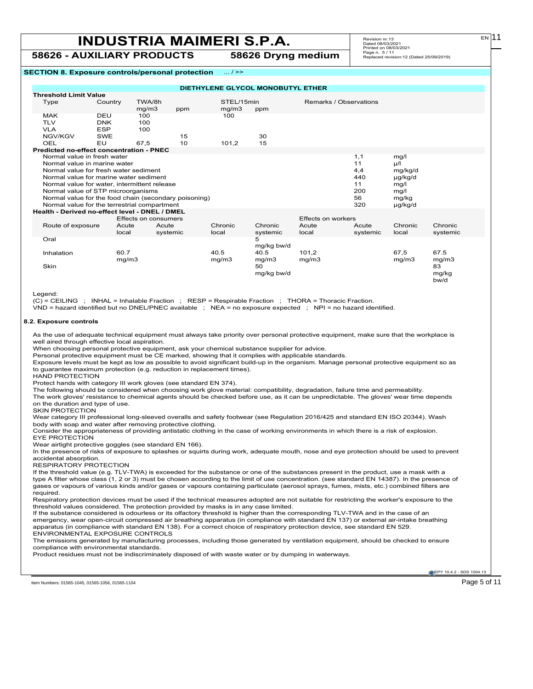**58626 - AUXILIARY PRODUCTS 58626 Dryng medium**

# Revision nr.13 Dated 08/03/2021 Printed on 08/03/2021 Page n. 5 / 11 Replaced revision:12 (Dated 25/09/2019)

**SECTION 8. Exposure controls/personal protection** ... / >>

|                                                                      |            |                      |          | DIETHYLENE GLYCOL MONOBUTYL ETHER |            |                        |          |          |          |
|----------------------------------------------------------------------|------------|----------------------|----------|-----------------------------------|------------|------------------------|----------|----------|----------|
| <b>Threshold Limit Value</b>                                         |            |                      |          |                                   |            |                        |          |          |          |
| Type                                                                 | Country    | TWA/8h               |          | STEL/15min                        |            | Remarks / Observations |          |          |          |
|                                                                      |            | mg/m3                | ppm      | mg/m3                             | ppm        |                        |          |          |          |
| <b>MAK</b>                                                           | DEU        | 100                  |          | 100                               |            |                        |          |          |          |
| <b>TLV</b>                                                           | <b>DNK</b> | 100                  |          |                                   |            |                        |          |          |          |
| <b>VLA</b>                                                           | <b>ESP</b> | 100                  |          |                                   |            |                        |          |          |          |
| NGV/KGV                                                              | <b>SWE</b> |                      | 15       |                                   | 30         |                        |          |          |          |
| OEL                                                                  | EU         | 67.5                 | 10       | 101.2                             | 15         |                        |          |          |          |
| Predicted no-effect concentration - PNEC                             |            |                      |          |                                   |            |                        |          |          |          |
| Normal value in fresh water                                          |            |                      |          |                                   |            |                        | 1,1      | mg/l     |          |
| Normal value in marine water                                         |            |                      |          |                                   |            |                        | 11       | $\mu$ /l |          |
| Normal value for fresh water sediment                                |            |                      |          |                                   |            |                        | 4,4      | mg/kg/d  |          |
| Normal value for marine water sediment                               |            |                      |          |                                   |            |                        | 440      | µg/kg/d  |          |
| Normal value for water, intermittent release                         |            |                      |          |                                   |            |                        | 11       | mg/l     |          |
| Normal value of STP microorganisms                                   |            |                      |          |                                   |            |                        | 200      | mq/l     |          |
| 56<br>Normal value for the food chain (secondary poisoning)<br>mg/kg |            |                      |          |                                   |            |                        |          |          |          |
| Normal value for the terrestrial compartment<br>320<br>µg/kg/d       |            |                      |          |                                   |            |                        |          |          |          |
| Health - Derived no-effect level - DNEL / DMEL                       |            |                      |          |                                   |            |                        |          |          |          |
|                                                                      |            | Effects on consumers |          |                                   |            | Effects on workers     |          |          |          |
| Route of exposure                                                    |            | Acute                | Acute    | Chronic                           | Chronic    | Acute                  | Acute    | Chronic  | Chronic  |
|                                                                      |            | local                | systemic | local                             | systemic   | local                  | systemic | local    | systemic |
| Oral                                                                 |            |                      |          |                                   | 5          |                        |          |          |          |
|                                                                      |            |                      |          |                                   | mg/kg bw/d |                        |          |          |          |
| Inhalation                                                           |            | 60.7                 |          | 40.5                              | 40.5       | 101.2                  |          | 67.5     | 67.5     |
|                                                                      |            | mq/m3                |          | mq/m3                             | mg/m3      | mg/m3                  |          | mq/m3    | mg/m3    |
| Skin                                                                 |            |                      |          |                                   | 50         |                        |          |          | 83       |
|                                                                      |            |                      |          |                                   | mg/kg bw/d |                        |          |          | mg/kg    |
|                                                                      |            |                      |          |                                   |            |                        |          |          | bw/d     |
|                                                                      |            |                      |          |                                   |            |                        |          |          |          |

Legend:

(C) = CEILING ; INHAL = Inhalable Fraction ; RESP = Respirable Fraction ; THORA = Thoracic Fraction.

VND = hazard identified but no DNEL/PNEC available ; NEA = no exposure expected ; NPI = no hazard identified.

### **8.2. Exposure controls**

As the use of adequate technical equipment must always take priority over personal protective equipment, make sure that the workplace is well aired through effective local aspiration.

When choosing personal protective equipment, ask your chemical substance supplier for advice.

Personal protective equipment must be CE marked, showing that it complies with applicable standards.

Exposure levels must be kept as low as possible to avoid significant build-up in the organism. Manage personal protective equipment so as to guarantee maximum protection (e.g. reduction in replacement times).

HAND PROTECTION

Protect hands with category III work gloves (see standard EN 374).

The following should be considered when choosing work glove material: compatibility, degradation, failure time and permeability.

The work gloves' resistance to chemical agents should be checked before use, as it can be unpredictable. The gloves' wear time depends on the duration and type of use.

SKIN PROTECTION

Wear category III professional long-sleeved overalls and safety footwear (see Regulation 2016/425 and standard EN ISO 20344). Wash body with soap and water after removing protective clothing.

Consider the appropriateness of providing antistatic clothing in the case of working environments in which there is a risk of explosion. EYE PROTECTION

Wear airtight protective goggles (see standard EN 166).

In the presence of risks of exposure to splashes or squirts during work, adequate mouth, nose and eye protection should be used to prevent accidental absorption.

RESPIRATORY PROTECTION

If the threshold value (e.g. TLV-TWA) is exceeded for the substance or one of the substances present in the product, use a mask with a type A filter whose class (1, 2 or 3) must be chosen according to the limit of use concentration. (see standard EN 14387). In the presence of gases or vapours of various kinds and/or gases or vapours containing particulate (aerosol sprays, fumes, mists, etc.) combined filters are required.

Respiratory protection devices must be used if the technical measures adopted are not suitable for restricting the worker's exposure to the threshold values considered. The protection provided by masks is in any case limited.

If the substance considered is odourless or its olfactory threshold is higher than the corresponding TLV-TWA and in the case of an emergency, wear open-circuit compressed air breathing apparatus (in compliance with standard EN 137) or external air-intake breathing apparatus (in compliance with standard EN 138). For a correct choice of respiratory protection device, see standard EN 529. ENVIRONMENTAL EXPOSURE CONTROLS

The emissions generated by manufacturing processes, including those generated by ventilation equipment, should be checked to ensure compliance with environmental standards.

Product residues must not be indiscriminately disposed of with waste water or by dumping in waterways.

**EPY 10.4.2 - SDS 1004.1** 

Item Numbers: 01565-1045, 01565-1056, 01565-1104 Page 5 of 11

 $F<sub>N</sub>$ 11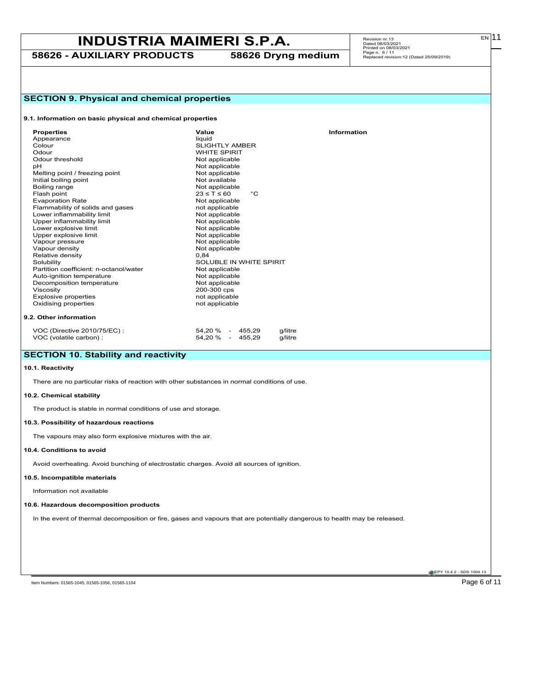**58626 - AUXILIARY PRODUCTS 58626 Dryng medium**

| <b>SECTION 9. Physical and chemical properties</b>                                           |                                                                                                                            |  |  |  |  |  |  |  |
|----------------------------------------------------------------------------------------------|----------------------------------------------------------------------------------------------------------------------------|--|--|--|--|--|--|--|
| 9.1. Information on basic physical and chemical properties                                   |                                                                                                                            |  |  |  |  |  |  |  |
| <b>Properties</b>                                                                            | Value<br>Information                                                                                                       |  |  |  |  |  |  |  |
| Appearance                                                                                   | liquid                                                                                                                     |  |  |  |  |  |  |  |
| Colour                                                                                       | <b>SLIGHTLY AMBER</b>                                                                                                      |  |  |  |  |  |  |  |
| Odour                                                                                        | <b>WHITE SPIRIT</b>                                                                                                        |  |  |  |  |  |  |  |
| Odour threshold                                                                              | Not applicable                                                                                                             |  |  |  |  |  |  |  |
| рH                                                                                           | Not applicable                                                                                                             |  |  |  |  |  |  |  |
| Melting point / freezing point                                                               | Not applicable                                                                                                             |  |  |  |  |  |  |  |
| Initial boiling point                                                                        | Not available                                                                                                              |  |  |  |  |  |  |  |
| Boiling range                                                                                | Not applicable                                                                                                             |  |  |  |  |  |  |  |
| Flash point                                                                                  | $23 \leq T \leq 60$<br>$^{\circ}C$                                                                                         |  |  |  |  |  |  |  |
| <b>Evaporation Rate</b>                                                                      | Not applicable                                                                                                             |  |  |  |  |  |  |  |
| Flammability of solids and gases                                                             | not applicable                                                                                                             |  |  |  |  |  |  |  |
| Lower inflammability limit                                                                   | Not applicable                                                                                                             |  |  |  |  |  |  |  |
| Upper inflammability limit                                                                   | Not applicable                                                                                                             |  |  |  |  |  |  |  |
| Lower explosive limit                                                                        | Not applicable                                                                                                             |  |  |  |  |  |  |  |
| Upper explosive limit                                                                        | Not applicable                                                                                                             |  |  |  |  |  |  |  |
| Vapour pressure                                                                              | Not applicable                                                                                                             |  |  |  |  |  |  |  |
| Vapour density                                                                               | Not applicable                                                                                                             |  |  |  |  |  |  |  |
| Relative density                                                                             | 0,84                                                                                                                       |  |  |  |  |  |  |  |
| Solubility                                                                                   | SOLUBLE IN WHITE SPIRIT                                                                                                    |  |  |  |  |  |  |  |
| Partition coefficient: n-octanol/water                                                       | Not applicable                                                                                                             |  |  |  |  |  |  |  |
| Auto-ignition temperature                                                                    | Not applicable                                                                                                             |  |  |  |  |  |  |  |
| Decomposition temperature                                                                    | Not applicable                                                                                                             |  |  |  |  |  |  |  |
| Viscosity                                                                                    | 200-300 cps                                                                                                                |  |  |  |  |  |  |  |
| <b>Explosive properties</b>                                                                  | not applicable                                                                                                             |  |  |  |  |  |  |  |
| Oxidising properties                                                                         | not applicable                                                                                                             |  |  |  |  |  |  |  |
| 9.2. Other information                                                                       |                                                                                                                            |  |  |  |  |  |  |  |
| VOC (Directive 2010/75/EC) :<br>VOC (volatile carbon) :                                      | 54,20 % - 455,29<br>g/litre<br>54,20 % - 455,29<br>g/litre                                                                 |  |  |  |  |  |  |  |
| <b>SECTION 10. Stability and reactivity</b>                                                  |                                                                                                                            |  |  |  |  |  |  |  |
| 10.1. Reactivity                                                                             |                                                                                                                            |  |  |  |  |  |  |  |
| There are no particular risks of reaction with other substances in normal conditions of use. |                                                                                                                            |  |  |  |  |  |  |  |
| 10.2. Chemical stability                                                                     |                                                                                                                            |  |  |  |  |  |  |  |
| The product is stable in normal conditions of use and storage.                               |                                                                                                                            |  |  |  |  |  |  |  |
| 10.3. Possibility of hazardous reactions                                                     |                                                                                                                            |  |  |  |  |  |  |  |
| The vapours may also form explosive mixtures with the air.                                   |                                                                                                                            |  |  |  |  |  |  |  |
| 10.4. Conditions to avoid                                                                    |                                                                                                                            |  |  |  |  |  |  |  |
| Avoid overheating. Avoid bunching of electrostatic charges. Avoid all sources of ignition    |                                                                                                                            |  |  |  |  |  |  |  |
| 10.5. Incompatible materials                                                                 |                                                                                                                            |  |  |  |  |  |  |  |
| Information not available                                                                    |                                                                                                                            |  |  |  |  |  |  |  |
| 10.6. Hazardous decomposition products                                                       |                                                                                                                            |  |  |  |  |  |  |  |
|                                                                                              | In the event of thermal decomposition or fire, gases and vapours that are potentially dangerous to health may be released. |  |  |  |  |  |  |  |
|                                                                                              |                                                                                                                            |  |  |  |  |  |  |  |
|                                                                                              |                                                                                                                            |  |  |  |  |  |  |  |
|                                                                                              |                                                                                                                            |  |  |  |  |  |  |  |

EPY 10.4.2 - SDS 1004.13

Item Numbers: 01565-1045, 01565-1056, 01565-1104 Page 6 of 11

 $E[N]$ 11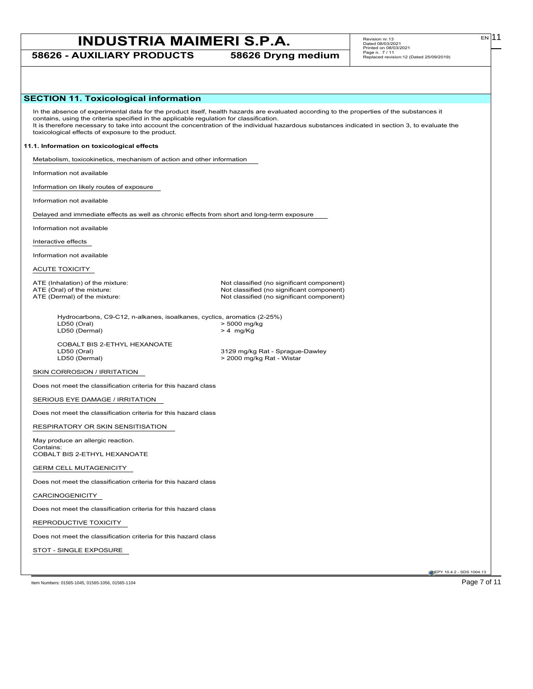**58626 - AUXILIARY PRODUCTS 58626 Dryng medium**

| <b>SECTION 11. Toxicological information</b>                                                                                                 |                                                                                                                                                                                                                                                                                              |
|----------------------------------------------------------------------------------------------------------------------------------------------|----------------------------------------------------------------------------------------------------------------------------------------------------------------------------------------------------------------------------------------------------------------------------------------------|
| contains, using the criteria specified in the applicable regulation for classification.<br>toxicological effects of exposure to the product. | In the absence of experimental data for the product itself, health hazards are evaluated according to the properties of the substances it<br>It is therefore necessary to take into account the concentration of the individual hazardous substances indicated in section 3, to evaluate the |
| 11.1. Information on toxicological effects                                                                                                   |                                                                                                                                                                                                                                                                                              |
| Metabolism, toxicokinetics, mechanism of action and other information                                                                        |                                                                                                                                                                                                                                                                                              |
| Information not available                                                                                                                    |                                                                                                                                                                                                                                                                                              |
| Information on likely routes of exposure                                                                                                     |                                                                                                                                                                                                                                                                                              |
| Information not available                                                                                                                    |                                                                                                                                                                                                                                                                                              |
| Delayed and immediate effects as well as chronic effects from short and long-term exposure                                                   |                                                                                                                                                                                                                                                                                              |
| Information not available                                                                                                                    |                                                                                                                                                                                                                                                                                              |
| Interactive effects                                                                                                                          |                                                                                                                                                                                                                                                                                              |
| Information not available                                                                                                                    |                                                                                                                                                                                                                                                                                              |
| ACUTE TOXICITY                                                                                                                               |                                                                                                                                                                                                                                                                                              |
| ATE (Inhalation) of the mixture:<br>ATE (Oral) of the mixture:<br>ATE (Dermal) of the mixture:                                               | Not classified (no significant component)<br>Not classified (no significant component)<br>Not classified (no significant component)                                                                                                                                                          |
| Hydrocarbons, C9-C12, n-alkanes, isoalkanes, cyclics, aromatics (2-25%)<br>LD50 (Oral)<br>LD50 (Dermal)                                      | > 5000 mg/kg<br>$> 4$ mg/Kg                                                                                                                                                                                                                                                                  |
| COBALT BIS 2-ETHYL HEXANOATE<br>LD50 (Oral)<br>LD50 (Dermal)                                                                                 | 3129 mg/kg Rat - Sprague-Dawley<br>> 2000 mg/kg Rat - Wistar                                                                                                                                                                                                                                 |
| SKIN CORROSION / IRRITATION                                                                                                                  |                                                                                                                                                                                                                                                                                              |
| Does not meet the classification criteria for this hazard class                                                                              |                                                                                                                                                                                                                                                                                              |
| SERIOUS EYE DAMAGE / IRRITATION                                                                                                              |                                                                                                                                                                                                                                                                                              |
| Does not meet the classification criteria for this hazard class                                                                              |                                                                                                                                                                                                                                                                                              |
| RESPIRATORY OR SKIN SENSITISATION                                                                                                            |                                                                                                                                                                                                                                                                                              |
| May produce an allergic reaction.                                                                                                            |                                                                                                                                                                                                                                                                                              |
| Contains:<br>COBALT BIS 2-ETHYL HEXANOATE                                                                                                    |                                                                                                                                                                                                                                                                                              |
| <b>GERM CELL MUTAGENICITY</b>                                                                                                                |                                                                                                                                                                                                                                                                                              |
| Does not meet the classification criteria for this hazard class                                                                              |                                                                                                                                                                                                                                                                                              |
| CARCINOGENICITY                                                                                                                              |                                                                                                                                                                                                                                                                                              |
| Does not meet the classification criteria for this hazard class                                                                              |                                                                                                                                                                                                                                                                                              |
| REPRODUCTIVE TOXICITY                                                                                                                        |                                                                                                                                                                                                                                                                                              |
| Does not meet the classification criteria for this hazard class                                                                              |                                                                                                                                                                                                                                                                                              |
| STOT - SINGLE EXPOSURE                                                                                                                       |                                                                                                                                                                                                                                                                                              |
|                                                                                                                                              |                                                                                                                                                                                                                                                                                              |
| Item Numbers: 01565-1045, 01565-1056, 01565-1104                                                                                             | EPY 10.4.2 - SDS 1004.13<br>Page 7 of 11                                                                                                                                                                                                                                                     |

 $E[N]$ 11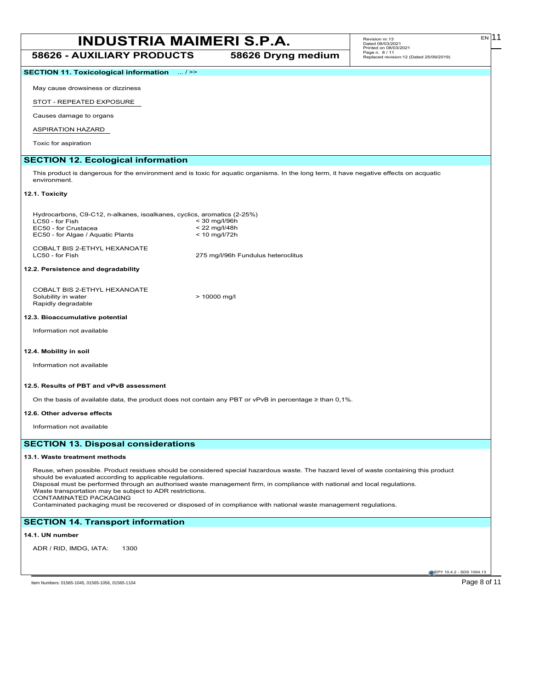### **INDUSTRIA MAIMERI S.P.A.** Revision nr.13 **58626 - AUXILIARY PRODUCTS 58626 Dryng medium**

**SECTION 11. Toxicological information** ... / >>

May cause drowsiness or dizziness

STOT - REPEATED EXPOSURE

Causes damage to organs

ASPIRATION HAZARD

Toxic for aspiration

### **SECTION 12. Ecological information**

This product is dangerous for the environment and is toxic for aquatic organisms. In the long term, it have negative effects on acquatic environment.

### **12.1. Toxicity**

| Hydrocarbons, C9-C12, n-alkanes, isoalkanes, cyclics, aromatics (2-25%) |                 |
|-------------------------------------------------------------------------|-----------------|
| LC50 - for Fish                                                         | $<$ 30 mg/l/96h |
| EC50 - for Crustacea                                                    | $< 22$ mg/l/48h |
| EC50 - for Algae / Aguatic Plants                                       | $< 10$ mg/l/72h |
|                                                                         |                 |
| CORAL TRIS 2 ETHVL HEYANOATE                                            |                 |

COBALT BIS 2-ETHYL HEXANOATE

275 mg/l/96h Fundulus heteroclitus

### **12.2. Persistence and degradability**

| COBALT BIS 2-ETHYL HEXANOATE |                |
|------------------------------|----------------|
| Solubility in water          | $>$ 10000 mg/l |
| Rapidly degradable           |                |

#### **12.3. Bioaccumulative potential**

Information not available

### **12.4. Mobility in soil**

Information not available

#### **12.5. Results of PBT and vPvB assessment**

On the basis of available data, the product does not contain any PBT or vPvB in percentage ≥ than 0,1%.

#### **12.6. Other adverse effects**

Information not available

### **SECTION 13. Disposal considerations**

#### **13.1. Waste treatment methods**

Reuse, when possible. Product residues should be considered special hazardous waste. The hazard level of waste containing this product should be evaluated according to applicable regulations. Disposal must be performed through an authorised waste management firm, in compliance with national and local regulations.

Waste transportation may be subject to ADR restrictions.

CONTAMINATED PACKAGING

Contaminated packaging must be recovered or disposed of in compliance with national waste management regulations.

### **SECTION 14. Transport information**

### **14.1. UN number**

ADR / RID, IMDG, IATA: 1300

**EPY 10.4.2 - SDS 1004.13** 

Item Numbers: 01565-1045, 01565-1056, 01565-1104 Page 8 of 11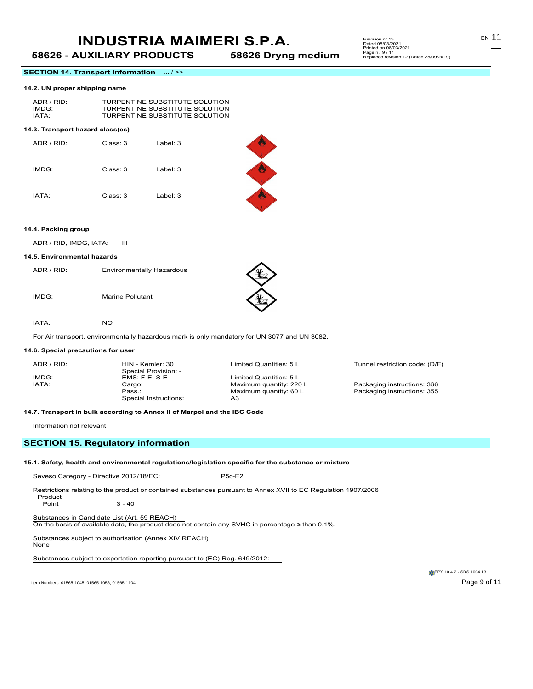| <b>INDUSTRIA MAIMERI S.P.A.</b> |                    | Revision nr 13<br>Dated 08/03/2021<br>Printed on 08/03/2021 | EN I |  |
|---------------------------------|--------------------|-------------------------------------------------------------|------|--|
| 58626 - AUXILIARY PRODUCTS      | 58626 Dryng medium | Page n. 9/11<br>Replaced revision:12 (Dated 25/09/2019)     |      |  |

### **SECTION 14. Transport information** ... / >>

#### **14.2. UN proper shipping name**

| ADR/RID | TURPENTINE SUBSTITUTE SOLUTION |
|---------|--------------------------------|
| IMDG:   | TURPENTINE SUBSTITUTE SOLUTION |
| IATA:   | TURPENTINE SUBSTITUTE SOLUTION |
|         |                                |

### **14.3. Transport hazard class(es)**

| ADR / RID: | Class: 3 | Label: $3$ |
|------------|----------|------------|
| IMDG:      | Class: 3 | Label: 3   |
| IATA:      | Class: 3 | Label: 3   |



### **14.4. Packing group**

ADR / RID, IMDG, IATA: III

### **14.5. Environmental hazards**

ADR / RID: Environmentally Hazardous

IMDG: Marine Pollutant

#### IATA: NO

For Air transport, environmentally hazardous mark is only mandatory for UN 3077 and UN 3082.

### **14.6. Special precautions for user**

| ADR / RID: | HIN - Kemler: 30                                                         | Limited Quantities: 5 L | Tunnel restriction code: (D/E) |
|------------|--------------------------------------------------------------------------|-------------------------|--------------------------------|
|            | Special Provision: -                                                     |                         |                                |
| IMDG:      | $EMS: F-E. S-E$                                                          | Limited Quantities: 5 L |                                |
| IATA:      | Cargo:                                                                   | Maximum quantity: 220 L | Packaging instructions: 366    |
|            | Pass.:                                                                   | Maximum quantity: 60 L  | Packaging instructions: 355    |
|            | Special Instructions:                                                    | A <sub>3</sub>          |                                |
|            |                                                                          |                         |                                |
|            | 14.7. Transport in bulk according to Annex II of Marpol and the IBC Code |                         |                                |

Information not relevant

### **SECTION 15. Regulatory information**

### **15.1. Safety, health and environmental regulations/legislation specific for the substance or mixture**

Seveso Category - Directive 2012/18/EC: P5c-E2

Restrictions relating to the product or contained substances pursuant to Annex XVII to EC Regulation 1907/2006

```
Product<br>Point
                       3 - 40
```
Substances in Candidate List (Art. 59 REACH)

On the basis of available data, the product does not contain any SVHC in percentage ≥ than 0,1%.

Substances subject to authorisation (Annex XIV REACH) **None** 

Substances subject to exportation reporting pursuant to (EC) Reg. 649/2012:

EPY 10.4.2 - SDS 1004.13

Item Numbers: 01565-1045, 01565-1056, 01565-1104 Page 9 of 11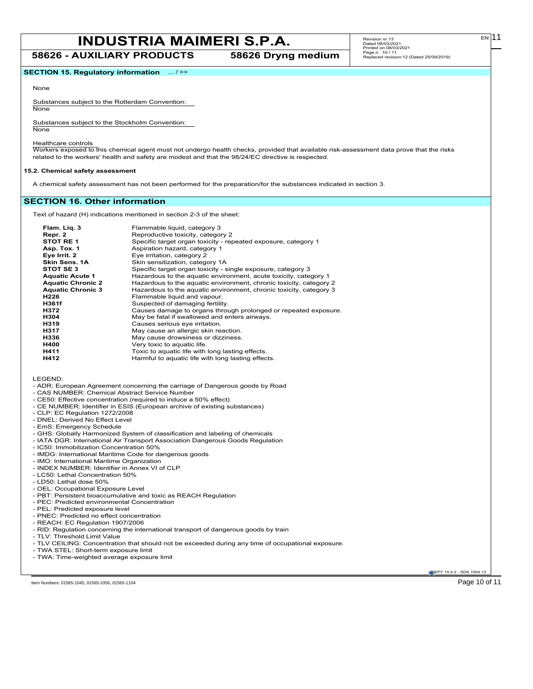**58626 - AUXILIARY PRODUCTS 58626 Dryng medium**

**SECTION 15. Regulatory information** ... / >>

#### None

Substances subject to the Rotterdam Convention: None

Substances subject to the Stockholm Convention:

**None** 

Healthcare controls

Workers exposed to this chemical agent must not undergo health checks, provided that available risk-assessment data prove that the risks related to the workers' health and safety are modest and that the 98/24/EC directive is respected.

### **15.2. Chemical safety assessment**

A chemical safety assessment has not been performed for the preparation/for the substances indicated in section 3.

### **SECTION 16. Other information**

Text of hazard (H) indications mentioned in section 2-3 of the sheet:

| Flam. Lig. 3<br>Repr. 2<br>STOT RE 1<br>Asp. Tox. 1<br>Eye Irrit. 2<br>Skin Sens, 1A<br>STOT SE 3 | Flammable liquid, category 3<br>Reproductive toxicity, category 2<br>Specific target organ toxicity - repeated exposure, category 1<br>Aspiration hazard, category 1<br>Eye irritation, category 2<br>Skin sensitization, category 1A<br>Specific target organ toxicity - single exposure, category 3 |
|---------------------------------------------------------------------------------------------------|-------------------------------------------------------------------------------------------------------------------------------------------------------------------------------------------------------------------------------------------------------------------------------------------------------|
| <b>Aquatic Acute 1</b><br><b>Aquatic Chronic 2</b>                                                | Hazardous to the aquatic environment, acute toxicity, category 1<br>Hazardous to the aquatic environment, chronic toxicity, category 2                                                                                                                                                                |
| <b>Aquatic Chronic 3</b>                                                                          | Hazardous to the aquatic environment, chronic toxicity, category 3                                                                                                                                                                                                                                    |
| H <sub>226</sub>                                                                                  | Flammable liquid and vapour.                                                                                                                                                                                                                                                                          |
| H361f                                                                                             | Suspected of damaging fertility.                                                                                                                                                                                                                                                                      |
| H372                                                                                              | Causes damage to organs through prolonged or repeated exposure.                                                                                                                                                                                                                                       |
| H304                                                                                              | May be fatal if swallowed and enters airways.                                                                                                                                                                                                                                                         |
| H319                                                                                              | Causes serious eye irritation.                                                                                                                                                                                                                                                                        |
| H317                                                                                              | May cause an allergic skin reaction.                                                                                                                                                                                                                                                                  |
| H336                                                                                              | May cause drowsiness or dizziness.                                                                                                                                                                                                                                                                    |
| H400                                                                                              | Very toxic to aquatic life.                                                                                                                                                                                                                                                                           |
| H411                                                                                              | Toxic to aquatic life with long lasting effects.                                                                                                                                                                                                                                                      |
| H412                                                                                              | Harmful to aquatic life with long lasting effects.                                                                                                                                                                                                                                                    |

LEGEND:

- ADR: European Agreement concerning the carriage of Dangerous goods by Road

- CAS NUMBER: Chemical Abstract Service Number
- CE50: Effective concentration (required to induce a 50% effect)
- CE NUMBER: Identifier in ESIS (European archive of existing substances)
- CLP: EC Regulation 1272/2008
- DNEL: Derived No Effect Level
- EmS: Emergency Schedule
- GHS: Globally Harmonized System of classification and labeling of chemicals
- IATA DGR: International Air Transport Association Dangerous Goods Regulation
- IC50: Immobilization Concentration 50%
- IMDG: International Maritime Code for dangerous goods
- IMO: International Maritime Organization
- INDEX NUMBER: Identifier in Annex VI of CLP
- LC50: Lethal Concentration 50%
- LD50: Lethal dose 50%
- OEL: Occupational Exposure Level
- PBT: Persistent bioaccumulative and toxic as REACH Regulation
- PEC: Predicted environmental Concentration
- PEL: Predicted exposure level
- PNEC: Predicted no effect concentration
- REACH: EC Regulation 1907/2006
- RID: Regulation concerning the international transport of dangerous goods by train
- TLV: Threshold Limit Value
- TLV CEILING: Concentration that should not be exceeded during any time of occupational exposure.
- TWA STEL: Short-term exposure limit
- TWA: Time-weighted average exposure limit

EPY 10.4.2 - SDS 1004.13

Item Numbers: 01565-1045, 01565-1056, 01565-1104 **Page 10 of 11** 

EN